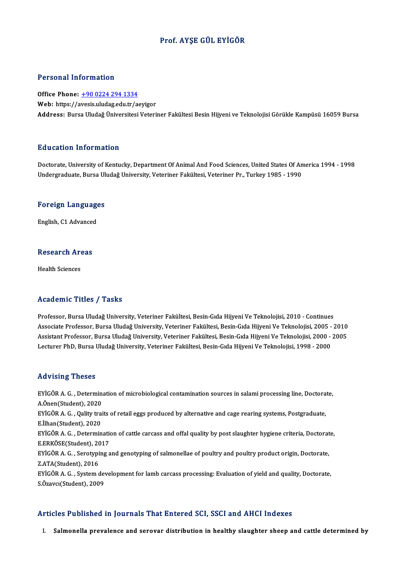## Prof. AYŞE GÜL EYİGÖR

### Personal Information

Office Phone: +90 0224 294 1334 Web: https://a[vesis.uludag.edu.tr/a](tel:+90 0224 294 1334)eyigor Address: Bursa Uludağ Üniversitesi Veteriner Fakültesi Besin Hijyeni ve Teknolojisi Görükle Kampüsü 16059 Bursa

### Education Information

Doctorate, University of Kentucky, Department Of Animal And Food Sciences, United States Of America 1994 - 1998 Undergraduate, Bursa Uludağ University, Veteriner Fakültesi, Veteriner Pr., Turkey 1985 - 1990

# <sub>ondergraduate, bursa of<br>Foreign Languages</sub> <mark>Foreign Languag</mark>e<br>English, C1 Advanced

# engusn, C1 Advanced<br>Research Areas R<mark>esearch Ar</mark><br>Health Sciences

# Academic Titles / Tasks

Professor, Bursa Uludağ University, Veteriner Fakültesi, Besin-Gıda Hijyeni Ve Teknolojisi, 2010 - Continues AssociateMille AlassociateMille AlassociateMille State<br>Professor, Bursa Uludağ University, Veteriner Fakültesi, Besin-Gıda Hijyeni Ve Teknolojisi, 2010 - Continues<br>Associate Professor, Bursa Uludağ University, Veteriner Fa Professor, Bursa Uludağ University, Veteriner Fakültesi, Besin-Gıda Hijyeni Ve Teknolojisi, 2010 - Continues<br>Associate Professor, Bursa Uludağ University, Veteriner Fakültesi, Besin-Gıda Hijyeni Ve Teknolojisi, 2005 - 2010 Associate Professor, Bursa Uludağ University, Veteriner Fakültesi, Besin-Gıda Hijyeni Ve Teknolojisi, 2005 -<br>Assistant Professor, Bursa Uludağ University, Veteriner Fakültesi, Besin-Gıda Hijyeni Ve Teknolojisi, 2000 -<br>Lect Lecturer PhD, Bursa Uludağ University, Veteriner Fakültesi, Besin-Gıda Hijyeni Ve Teknolojisi, 1998 - 2000<br>Advising Theses

Advising Theses<br>EYİGÖR A. G. , Determination of microbiological contamination sources in salami processing line, Doctorate,<br>A Önen(Student), 2020 A.<br>A.Önen(Student), 2020<br>Exicop A.C. Oality trai EYİGÖR A. G. , Determination of microbiological contamination sources in salami processing line, Doctora<br>A.Önen(Student), 2020<br>EYİGÖR A. G. , Qality traits of retail eggs produced by alternative and cage rearing systems, P A.Önen(Student), 2020<br>EYİGÖR A. G. , Qality traits of retail eggs produced by alternative and cage rearing systems, Postgraduate,<br>E.İlhan(Student), 2020 EYİGÖR A. G. , Qality traits of retail eggs produced by alternative and cage rearing systems, Postgraduate,<br>E.İlhan(Student), 2020<br>EYİGÖR A. G. , Determination of cattle carcass and offal quality by post slaughter hygiene E.İlhan(Student), 2020<br>EYİGÖR A. G. , Determination<br>E.ERKÖSE(Student), 2017<br>EYİÇÖR A. C. , Serstyning a EYİGÖR A. G. , Determination of cattle carcass and offal quality by post slaughter hygiene criteria, Doctorat<br>E.ERKÖSE(Student), 2017<br>EYİGÖR A. G. , Serotyping and genotyping of salmonellae of poultry and poultry product o E.ERKÖSE(Student), 2016<br>EYİGÖR A. G. , Serotypi<br>Z.ATA(Student), 2016<br>EYİCÖR A. C. , System d EYİGÖR A. G. , Serotyping and genotyping of salmonellae of poultry and poultry product origin, Doctorate,<br>Z.ATA(Student), 2016<br>EYİGÖR A. G. , System development for lamb carcass processing: Evaluation of yield and quality, Z.ATA(Student), 2016<br>EYİGÖR A. G. , System dev<br>S.Özavcı(Student), 2009

# Articles Published in Journals That Entered SCI, SSCI and AHCI Indexes

I. Salmonella prevalence and serovar distribution in healthy slaughter sheep and cattle determined by